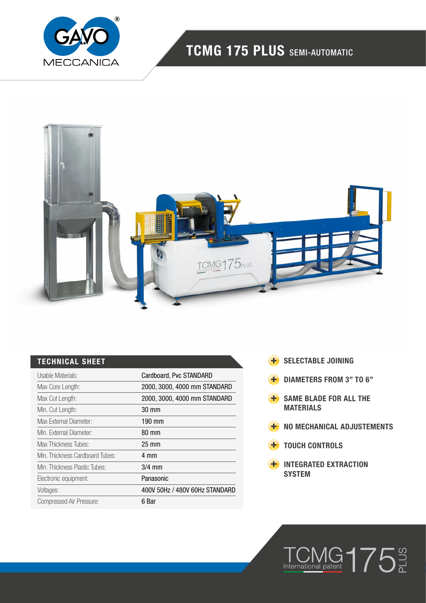

# TCMG 175 PLUS SEMI-AUTOMATIC



## TECHNICAL SHEET

| Usable Materials:               | Cardboard, Pvc STANDARD        |
|---------------------------------|--------------------------------|
| Max Core Length:                | 2000, 3000, 4000 mm STANDARD   |
| Max Cut Length:                 | 2000, 3000, 4000 mm STANDARD   |
| Min. Cut Length:                | 30 mm                          |
| Max External Diameter:          | 190 mm                         |
| Min. External Diameter:         | 80 mm                          |
| Max Thickness Tubes:            | $25 \text{ mm}$                |
| Min. Thickness Cardboard Tubes: | 4 mm                           |
| Min. Thickness Plastic Tubes:   | $3/4$ mm                       |
| Electronic equipment:           | Panasonic                      |
| Voltages:                       | 400V 50Hz / 480V 60Hz STANDARD |
| Compressed Air Pressure:        | 6 Bar                          |

- **+** SELECTABLE JOINING
- DIAMETERS FROM 3" TO 6"
- **H** SAME BLADE FOR ALL THE **MATERIALS**
- **H** NO MECHANICAL ADJUSTEMENTS

 $TCMG 1753$ 

- **+** TOUCH CONTROLS
- **H** INTEGRATED EXTRACTION SYSTEM